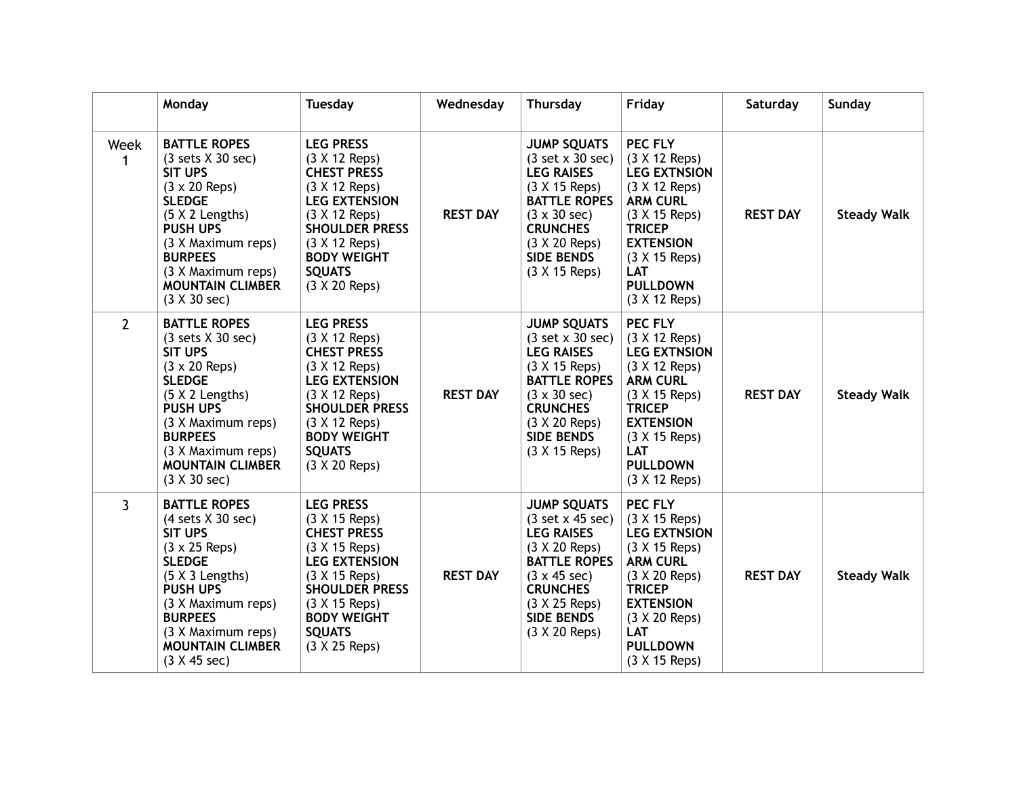|                | Monday                                                                                                                                                                                                                                                                                               | <b>Tuesday</b>                                                                                                                                                                                                                | Wednesday       | Thursday                                                                                                                                                                                                                                 | Friday                                                                                                                                                                                                              | Saturday        | Sunday             |
|----------------|------------------------------------------------------------------------------------------------------------------------------------------------------------------------------------------------------------------------------------------------------------------------------------------------------|-------------------------------------------------------------------------------------------------------------------------------------------------------------------------------------------------------------------------------|-----------------|------------------------------------------------------------------------------------------------------------------------------------------------------------------------------------------------------------------------------------------|---------------------------------------------------------------------------------------------------------------------------------------------------------------------------------------------------------------------|-----------------|--------------------|
| Week<br>1      | <b>BATTLE ROPES</b><br>$(3 \text{ sets } X \text{ } 30 \text{ sec})$<br><b>SIT UPS</b><br>$(3 \times 20$ Reps)<br><b>SLEDGE</b><br>$(5 \times 2$ Lengths)<br><b>PUSH UPS</b><br>(3 X Maximum reps)<br><b>BURPEES</b><br>(3 X Maximum reps)<br><b>MOUNTAIN CLIMBER</b><br>$(3 \times 30 \text{ sec})$ | <b>LEG PRESS</b><br>$(3 X 12$ Reps)<br><b>CHEST PRESS</b><br>$(3 X 12$ Reps)<br><b>LEG EXTENSION</b><br>$(3 X 12$ Reps)<br><b>SHOULDER PRESS</b><br>$(3 X 12$ Reps)<br><b>BODY WEIGHT</b><br><b>SQUATS</b><br>$(3 X 20$ Reps) | <b>REST DAY</b> | <b>JUMP SQUATS</b><br>$(3 \text{ set } x 30 \text{ sec})$<br><b>LEG RAISES</b><br>(3 X 15 Reps)<br><b>BATTLE ROPES</b><br>$(3 \times 30 \text{ sec})$<br><b>CRUNCHES</b><br>$(3 X 20$ Reps)<br><b>SIDE BENDS</b><br>(3 X 15 Reps)        | PEC FLY<br>(3 X 12 Reps)<br><b>LEG EXTNSION</b><br>$(3 X 12$ Reps)<br><b>ARM CURL</b><br>(3 X 15 Reps)<br><b>TRICEP</b><br><b>EXTENSION</b><br>(3 X 15 Reps)<br>LAT<br><b>PULLDOWN</b><br>(3 X 12 Reps)             | <b>REST DAY</b> | <b>Steady Walk</b> |
| $2^{\circ}$    | <b>BATTLE ROPES</b><br>$(3 \text{ sets } X \text{ } 30 \text{ sec})$<br><b>SIT UPS</b><br>$(3 \times 20$ Reps)<br><b>SLEDGE</b><br>(5 X 2 Lengths)<br><b>PUSH UPS</b><br>(3 X Maximum reps)<br><b>BURPEES</b><br>(3 X Maximum reps)<br><b>MOUNTAIN CLIMBER</b><br>$(3 \times 30 \text{ sec})$        | <b>LEG PRESS</b><br>(3 X 12 Reps)<br><b>CHEST PRESS</b><br>$(3 X 12$ Reps)<br><b>LEG EXTENSION</b><br>$(3 X 12$ Reps)<br><b>SHOULDER PRESS</b><br>$(3 X 12$ Reps)<br><b>BODY WEIGHT</b><br><b>SQUATS</b><br>(3 X 20 Reps)     | <b>REST DAY</b> | <b>JUMP SQUATS</b><br>$(3 \text{ set } x 30 \text{ sec})$<br><b>LEG RAISES</b><br>(3 X 15 Reps)<br><b>BATTLE ROPES</b><br>$(3 \times 30 \text{ sec})$<br><b>CRUNCHES</b><br>$(3 \times 20$ Reps)<br><b>SIDE BENDS</b><br>$(3 X 15$ Reps) | PEC FLY<br>(3 X 12 Reps)<br><b>LEG EXTNSION</b><br>(3 X 12 Reps)<br><b>ARM CURL</b><br>(3 X 15 Reps)<br><b>TRICEP</b><br><b>EXTENSION</b><br>(3 X 15 Reps)<br>LAT<br><b>PULLDOWN</b><br>(3 X 12 Reps)               | <b>REST DAY</b> | <b>Steady Walk</b> |
| $\overline{3}$ | <b>BATTLE ROPES</b><br>$(4 \text{ sets } X \text{ } 30 \text{ sec})$<br><b>SIT UPS</b><br>$(3 \times 25$ Reps)<br><b>SLEDGE</b><br>$(5 \times 3$ Lengths)<br><b>PUSH UPS</b><br>(3 X Maximum reps)<br><b>BURPEES</b><br>(3 X Maximum reps)<br><b>MOUNTAIN CLIMBER</b><br>(3 X 45 sec)                | <b>LEG PRESS</b><br>(3 X 15 Reps)<br><b>CHEST PRESS</b><br>$(3 X 15$ Reps)<br><b>LEG EXTENSION</b><br>(3 X 15 Reps)<br><b>SHOULDER PRESS</b><br>(3 X 15 Reps)<br><b>BODY WEIGHT</b><br><b>SQUATS</b><br>(3 X 25 Reps)         | <b>REST DAY</b> | <b>JUMP SQUATS</b><br>$(3 \text{ set } x 45 \text{ sec})$<br><b>LEG RAISES</b><br>$(3 X 20$ Reps)<br><b>BATTLE ROPES</b><br>$(3 \times 45 \text{ sec})$<br><b>CRUNCHES</b><br>$(3 \times 25$ Reps)<br><b>SIDE BENDS</b><br>(3 X 20 Reps) | PEC FLY<br>(3 X 15 Reps)<br><b>LEG EXTNSION</b><br>(3 X 15 Reps)<br><b>ARM CURL</b><br>$(3 \times 20$ Reps)<br><b>TRICEP</b><br><b>EXTENSION</b><br>(3 X 20 Reps)<br><b>LAT</b><br><b>PULLDOWN</b><br>(3 X 15 Reps) | <b>REST DAY</b> | <b>Steady Walk</b> |